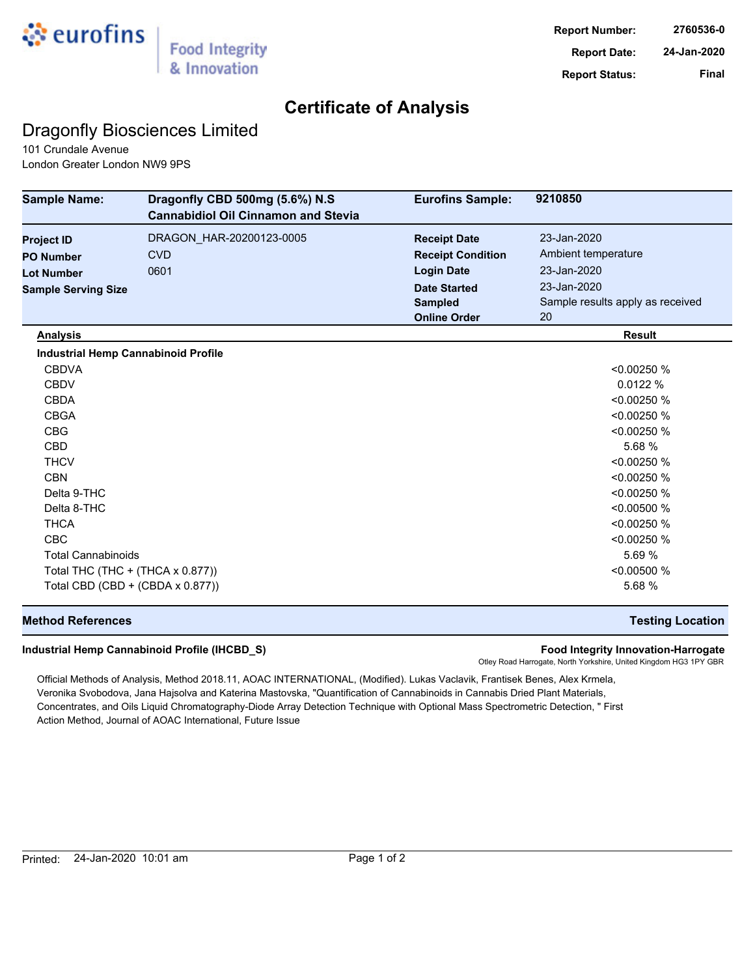

## **Certificate of Analysis**

## Dragonfly Biosciences Limited

101 Crundale Avenue London Greater London NW9 9PS

| <b>Sample Name:</b>                        | Dragonfly CBD 500mg (5.6%) N.S<br><b>Cannabidiol Oil Cinnamon and Stevia</b> | <b>Eurofins Sample:</b>  | 9210850                          |
|--------------------------------------------|------------------------------------------------------------------------------|--------------------------|----------------------------------|
| <b>Project ID</b>                          | DRAGON HAR-20200123-0005                                                     | <b>Receipt Date</b>      | 23-Jan-2020                      |
| <b>PO Number</b>                           | <b>CVD</b>                                                                   | <b>Receipt Condition</b> | Ambient temperature              |
| <b>Lot Number</b>                          | 0601                                                                         | <b>Login Date</b>        | 23-Jan-2020                      |
| <b>Sample Serving Size</b>                 |                                                                              | <b>Date Started</b>      | 23-Jan-2020                      |
|                                            |                                                                              | <b>Sampled</b>           | Sample results apply as received |
|                                            |                                                                              | <b>Online Order</b>      | 20                               |
| <b>Analysis</b>                            |                                                                              |                          | <b>Result</b>                    |
| <b>Industrial Hemp Cannabinoid Profile</b> |                                                                              |                          |                                  |
| <b>CBDVA</b>                               |                                                                              |                          | < 0.00250 %                      |
| <b>CBDV</b>                                |                                                                              |                          | 0.0122%                          |
| <b>CBDA</b>                                |                                                                              |                          | < 0.00250 %                      |
| <b>CBGA</b>                                |                                                                              |                          | < 0.00250 %                      |
| <b>CBG</b>                                 |                                                                              |                          | < 0.00250 %                      |
| <b>CBD</b>                                 |                                                                              |                          | 5.68 %                           |
| <b>THCV</b>                                |                                                                              |                          | < 0.00250 %                      |
| <b>CBN</b>                                 |                                                                              |                          | < 0.00250 %                      |
| Delta 9-THC                                |                                                                              |                          | < 0.00250 %                      |
| Delta 8-THC                                |                                                                              |                          | < 0.00500 %                      |
| <b>THCA</b>                                |                                                                              |                          | < 0.00250 %                      |
| <b>CBC</b>                                 |                                                                              |                          | < 0.00250 %                      |
| <b>Total Cannabinoids</b>                  |                                                                              |                          | 5.69 %                           |
| Total THC (THC + (THCA x 0.877))           |                                                                              |                          | < 0.00500 %                      |
| Total CBD (CBD + (CBDA x 0.877))           |                                                                              |                          | 5.68 %                           |

### **Method References Testing Location**

#### **Industrial Hemp Cannabinoid Profile (IHCBD\_S) Food Integrity Innovation-Harrogate**

Otley Road Harrogate, North Yorkshire, United Kingdom HG3 1PY GBR

Official Methods of Analysis, Method 2018.11, AOAC INTERNATIONAL, (Modified). Lukas Vaclavik, Frantisek Benes, Alex Krmela, Veronika Svobodova, Jana Hajsolva and Katerina Mastovska, "Quantification of Cannabinoids in Cannabis Dried Plant Materials, Concentrates, and Oils Liquid Chromatography-Diode Array Detection Technique with Optional Mass Spectrometric Detection, " First Action Method, Journal of AOAC International, Future Issue